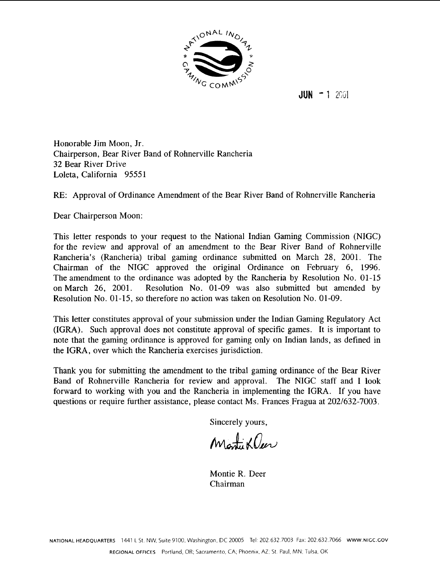

 $JUN - 1$  2001

Honorable Jim Moon, Jr. Chairperson, Bear River Band of Rohnerville Rancheria **32** Bear River Drive Loleta, California 95551

RE: Approval of Ordinance Amendment of the Bear River Band of Rohnerville Rancheria

Dear Chairperson Moon:

This letter responds to your request to the National Indian Gaming Commission (NIGC) for the review and approval of an amendment to the Bear River Band of Rohnerville Rancheria's (Rancheria) tribal gaming ordinance submitted on March 28, 2001. The Chairman of the NIGC approved the original Ordinance on February 6, 1996. The amendment to the ordinance was adopted by the Rancheria by Resolution No. 01-15 on March 26, 2001. Resolution No. 01-09 was also submitted but amended by Resolution No. 01-15, so therefore no action was taken on Resolution No. 01-09.

This letter constitutes approval of your submission under the Indian Gaming Regulatory Act (IGRA). Such approval does not constitute approval of specific games. It is important to note that the gaming ordinance is approved for gaming only on Indian lands, as defined in the IGRA, over which the Rancheria exercises jurisdiction.

Thank you for submitting the amendment to the tribal gaming ordinance of the Bear River Band of Rohnerville Rancheria for review and approval. The NIGC staff and I look forward to working with you and the Rancheria in implementing the IGRA. If you have questions or require further assistance, please contact Ms. Frances Fragua at 202/632-7003.

Sincerely yours,

Monti Kleer

Montie R. Deer Chairman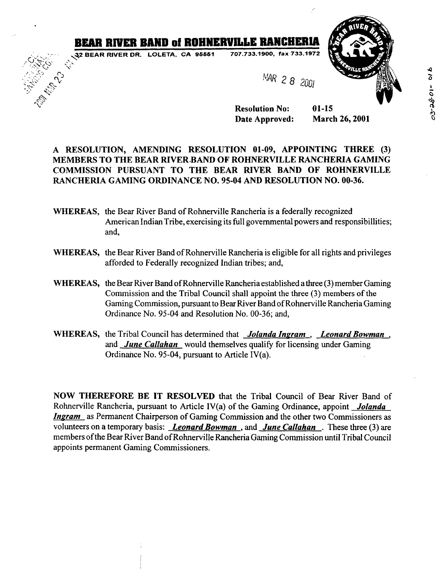## **BEAR RIVER BAND of ROHNERVILLE RANCHERIA**<br> **Az BEAR RIVER DR. LOLETA, CA 96661 707.733.1900. fax 733.1972**<br> **Az Canadian Street (1915)**

.-..

 $\mathscr{E}_i$ 



## **A RESOLUTION, AMENDING RESOLUTION 01-09, APPOINTING THREE (3) MEMBERS TO THE BEAR RIVER.BAND OF ROHNERVILLE RANCHERIA GAMING COMMISSION PURSUANT TO THE BEAR RIVER BAND OF ROHNERVILLE RANCHERIA GAMING ORDINANCE NO. 95-04 AND RESOLUTION NO. 00-36.**

- **WHEREAS,** the Bear River Band of Rohnerville Rancheria is a federally recognized American Indian Tribe, exercising its full governmental powers and responsibillities; and,
- **WHEREAS,** the Bear River Band of Rohnerville Rancheria is eligible for all rights and privileges afforded to Federally recognized Indian tribes; and,
- **WHEREAS,** the Bear River Band of Rohnerville Rancheria established a three (3) member Gaming Commission and the Tribal Council shall appoint the three **(3)** members of the Gaming Commission, pursuant to Bear River Band of Rohnerville Rancheria Gaming Ordinance No. 95-04 and Resolution No. 00-36; and,
- **WHEREAS,** the Tribal Council has determined that *Jolanda Inpram* , *Leonard Bowman* , and *June Callahan* would themselves qualify for licensing under Gaming Ordinahce No. 95-04, pursuant to Article IV(a).

**NOW THEREFORE BE IT RESOLVED** that the Tribal Council of Bear River Band of Rohnerville Rancheria, pursuant to Article 1V(a) of the Gaming Ordinance, appoint *Jolanda*  **Ingram** as Permanent Chairperson of Gaming Commission and the other two Commissioners as volunteers on a temporary basis: *Leonard Bowman* , and *June Callahan* . These three (3) are members ofthe Bear River Band of Rohnerville Rancheria Gaming Commission until Tribal Council appoints permanent Gaming Commissioners.